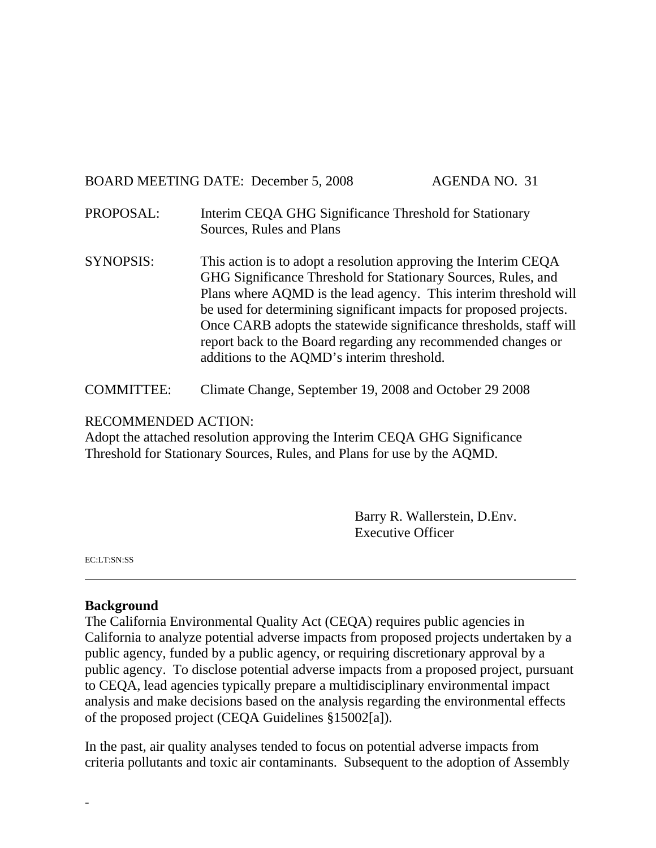# BOARD MEETING DATE: December 5, 2008 AGENDA NO. 31

- PROPOSAL: Interim CEQA GHG Significance Threshold for Stationary Sources, Rules and Plans
- SYNOPSIS: This action is to adopt a resolution approving the Interim CEQA GHG Significance Threshold for Stationary Sources, Rules, and Plans where AQMD is the lead agency. This interim threshold will be used for determining significant impacts for proposed projects. Once CARB adopts the statewide significance thresholds, staff will report back to the Board regarding any recommended changes or additions to the AQMD's interim threshold.
- COMMITTEE: Climate Change, September 19, 2008 and October 29 2008

#### RECOMMENDED ACTION:

Adopt the attached resolution approving the Interim CEQA GHG Significance Threshold for Stationary Sources, Rules, and Plans for use by the AQMD.

> Barry R. Wallerstein, D.Env. Executive Officer

EC:LT:SN:SS

-

#### **Background**

The California Environmental Quality Act (CEQA) requires public agencies in California to analyze potential adverse impacts from proposed projects undertaken by a public agency, funded by a public agency, or requiring discretionary approval by a public agency. To disclose potential adverse impacts from a proposed project, pursuant to CEQA, lead agencies typically prepare a multidisciplinary environmental impact analysis and make decisions based on the analysis regarding the environmental effects of the proposed project (CEQA Guidelines §15002[a]).

In the past, air quality analyses tended to focus on potential adverse impacts from criteria pollutants and toxic air contaminants. Subsequent to the adoption of Assembly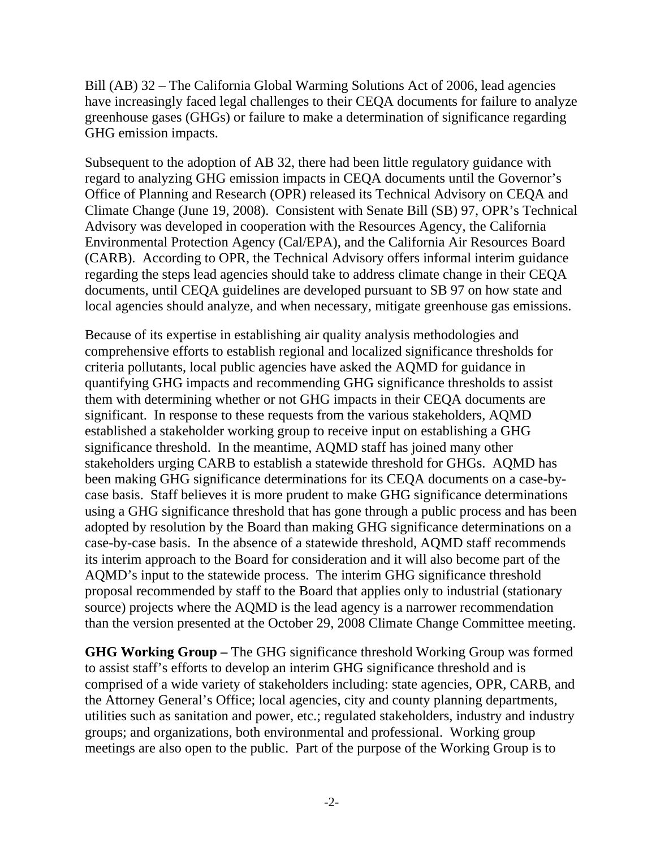Bill (AB) 32 – The California Global Warming Solutions Act of 2006, lead agencies have increasingly faced legal challenges to their CEQA documents for failure to analyze greenhouse gases (GHGs) or failure to make a determination of significance regarding GHG emission impacts.

Subsequent to the adoption of AB 32, there had been little regulatory guidance with regard to analyzing GHG emission impacts in CEQA documents until the Governor's Office of Planning and Research (OPR) released its Technical Advisory on CEQA and Climate Change (June 19, 2008). Consistent with Senate Bill (SB) 97, OPR's Technical Advisory was developed in cooperation with the Resources Agency, the California Environmental Protection Agency (Cal/EPA), and the California Air Resources Board (CARB). According to OPR, the Technical Advisory offers informal interim guidance regarding the steps lead agencies should take to address climate change in their CEQA documents, until CEQA guidelines are developed pursuant to SB 97 on how state and local agencies should analyze, and when necessary, mitigate greenhouse gas emissions.

Because of its expertise in establishing air quality analysis methodologies and comprehensive efforts to establish regional and localized significance thresholds for criteria pollutants, local public agencies have asked the AQMD for guidance in quantifying GHG impacts and recommending GHG significance thresholds to assist them with determining whether or not GHG impacts in their CEQA documents are significant. In response to these requests from the various stakeholders, AQMD established a stakeholder working group to receive input on establishing a GHG significance threshold. In the meantime, AQMD staff has joined many other stakeholders urging CARB to establish a statewide threshold for GHGs. AQMD has been making GHG significance determinations for its CEQA documents on a case-bycase basis. Staff believes it is more prudent to make GHG significance determinations using a GHG significance threshold that has gone through a public process and has been adopted by resolution by the Board than making GHG significance determinations on a case-by-case basis. In the absence of a statewide threshold, AQMD staff recommends its interim approach to the Board for consideration and it will also become part of the AQMD's input to the statewide process. The interim GHG significance threshold proposal recommended by staff to the Board that applies only to industrial (stationary source) projects where the AQMD is the lead agency is a narrower recommendation than the version presented at the October 29, 2008 Climate Change Committee meeting.

**GHG Working Group –** The GHG significance threshold Working Group was formed to assist staff's efforts to develop an interim GHG significance threshold and is comprised of a wide variety of stakeholders including: state agencies, OPR, CARB, and the Attorney General's Office; local agencies, city and county planning departments, utilities such as sanitation and power, etc.; regulated stakeholders, industry and industry groups; and organizations, both environmental and professional. Working group meetings are also open to the public. Part of the purpose of the Working Group is to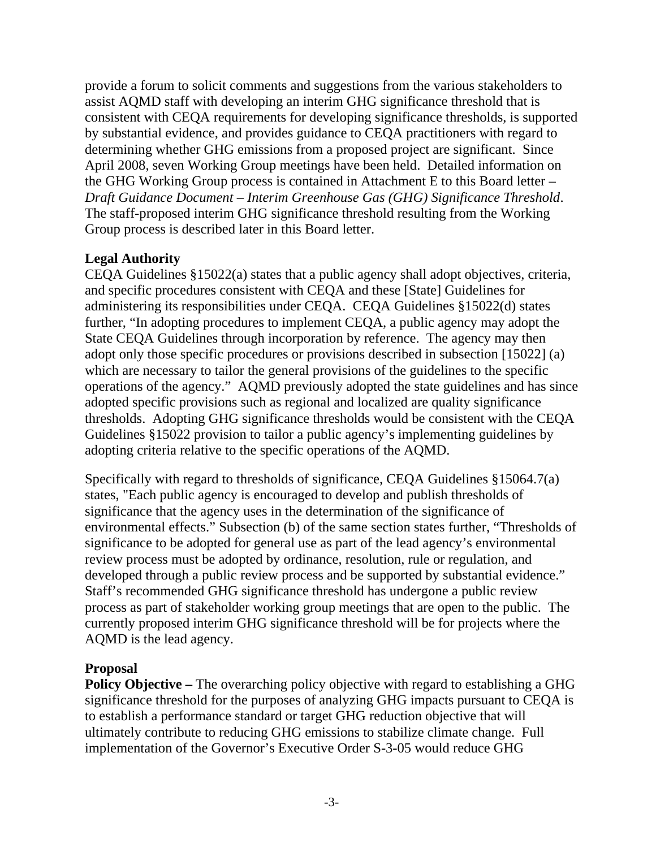provide a forum to solicit comments and suggestions from the various stakeholders to assist AQMD staff with developing an interim GHG significance threshold that is consistent with CEQA requirements for developing significance thresholds, is supported by substantial evidence, and provides guidance to CEQA practitioners with regard to determining whether GHG emissions from a proposed project are significant. Since April 2008, seven Working Group meetings have been held. Detailed information on the GHG Working Group process is contained in Attachment E to this Board letter – *Draft Guidance Document – Interim Greenhouse Gas (GHG) Significance Threshold*. The staff-proposed interim GHG significance threshold resulting from the Working Group process is described later in this Board letter.

## **Legal Authority**

CEQA Guidelines §15022(a) states that a public agency shall adopt objectives, criteria, and specific procedures consistent with CEQA and these [State] Guidelines for administering its responsibilities under CEQA. CEQA Guidelines §15022(d) states further, "In adopting procedures to implement CEQA, a public agency may adopt the State CEQA Guidelines through incorporation by reference. The agency may then adopt only those specific procedures or provisions described in subsection [15022] (a) which are necessary to tailor the general provisions of the guidelines to the specific operations of the agency." AQMD previously adopted the state guidelines and has since adopted specific provisions such as regional and localized are quality significance thresholds. Adopting GHG significance thresholds would be consistent with the CEQA Guidelines §15022 provision to tailor a public agency's implementing guidelines by adopting criteria relative to the specific operations of the AQMD.

Specifically with regard to thresholds of significance, CEQA Guidelines §15064.7(a) states, "Each public agency is encouraged to develop and publish thresholds of significance that the agency uses in the determination of the significance of environmental effects." Subsection (b) of the same section states further, "Thresholds of significance to be adopted for general use as part of the lead agency's environmental review process must be adopted by ordinance, resolution, rule or regulation, and developed through a public review process and be supported by substantial evidence." Staff's recommended GHG significance threshold has undergone a public review process as part of stakeholder working group meetings that are open to the public. The currently proposed interim GHG significance threshold will be for projects where the AQMD is the lead agency.

## **Proposal**

**Policy Objective –** The overarching policy objective with regard to establishing a GHG significance threshold for the purposes of analyzing GHG impacts pursuant to CEQA is to establish a performance standard or target GHG reduction objective that will ultimately contribute to reducing GHG emissions to stabilize climate change. Full implementation of the Governor's Executive Order S-3-05 would reduce GHG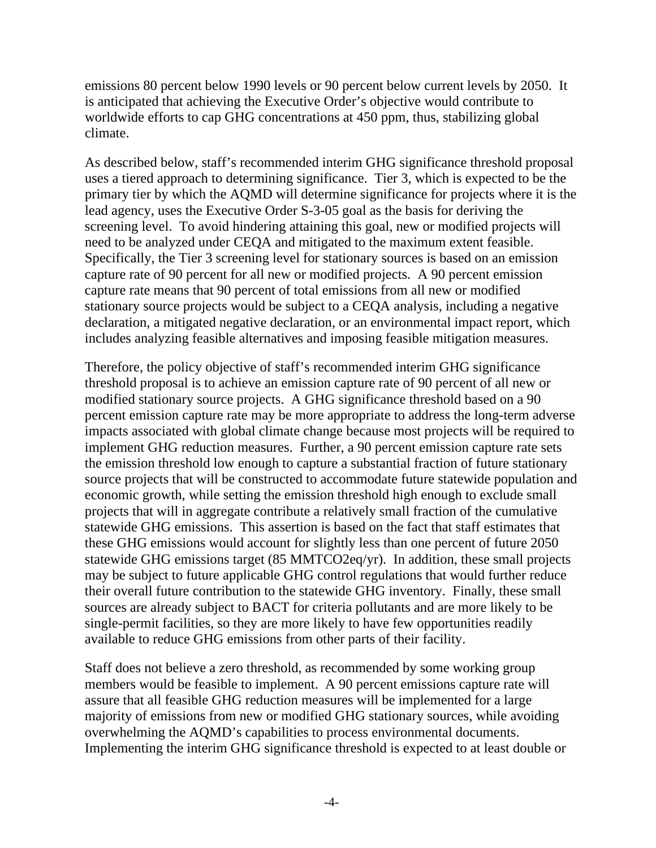emissions 80 percent below 1990 levels or 90 percent below current levels by 2050. It is anticipated that achieving the Executive Order's objective would contribute to worldwide efforts to cap GHG concentrations at 450 ppm, thus, stabilizing global climate.

As described below, staff's recommended interim GHG significance threshold proposal uses a tiered approach to determining significance. Tier 3, which is expected to be the primary tier by which the AQMD will determine significance for projects where it is the lead agency, uses the Executive Order S-3-05 goal as the basis for deriving the screening level. To avoid hindering attaining this goal, new or modified projects will need to be analyzed under CEQA and mitigated to the maximum extent feasible. Specifically, the Tier 3 screening level for stationary sources is based on an emission capture rate of 90 percent for all new or modified projects. A 90 percent emission capture rate means that 90 percent of total emissions from all new or modified stationary source projects would be subject to a CEQA analysis, including a negative declaration, a mitigated negative declaration, or an environmental impact report, which includes analyzing feasible alternatives and imposing feasible mitigation measures.

Therefore, the policy objective of staff's recommended interim GHG significance threshold proposal is to achieve an emission capture rate of 90 percent of all new or modified stationary source projects. A GHG significance threshold based on a 90 percent emission capture rate may be more appropriate to address the long-term adverse impacts associated with global climate change because most projects will be required to implement GHG reduction measures. Further, a 90 percent emission capture rate sets the emission threshold low enough to capture a substantial fraction of future stationary source projects that will be constructed to accommodate future statewide population and economic growth, while setting the emission threshold high enough to exclude small projects that will in aggregate contribute a relatively small fraction of the cumulative statewide GHG emissions. This assertion is based on the fact that staff estimates that these GHG emissions would account for slightly less than one percent of future 2050 statewide GHG emissions target (85 MMTCO2eq/yr). In addition, these small projects may be subject to future applicable GHG control regulations that would further reduce their overall future contribution to the statewide GHG inventory. Finally, these small sources are already subject to BACT for criteria pollutants and are more likely to be single-permit facilities, so they are more likely to have few opportunities readily available to reduce GHG emissions from other parts of their facility.

Staff does not believe a zero threshold, as recommended by some working group members would be feasible to implement. A 90 percent emissions capture rate will assure that all feasible GHG reduction measures will be implemented for a large majority of emissions from new or modified GHG stationary sources, while avoiding overwhelming the AQMD's capabilities to process environmental documents. Implementing the interim GHG significance threshold is expected to at least double or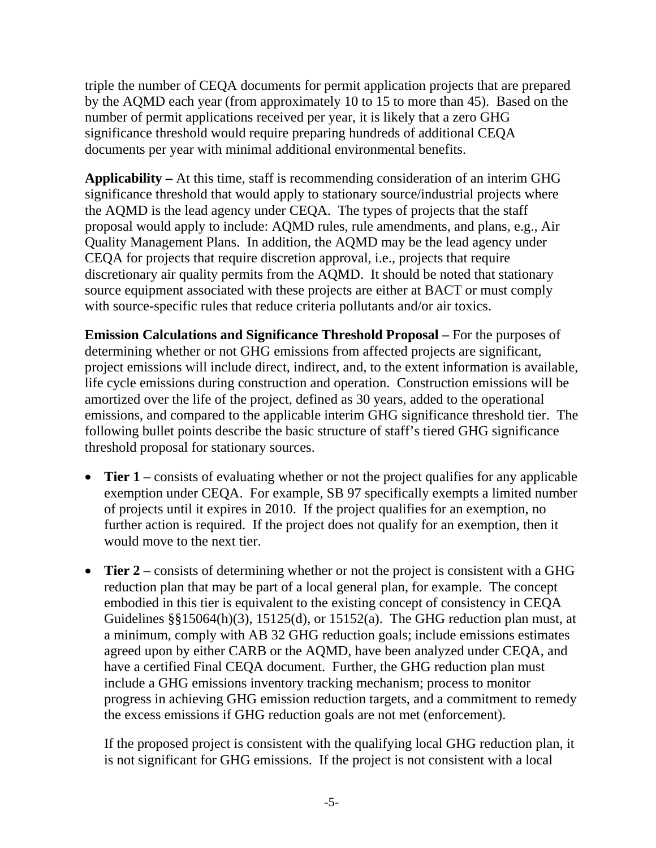triple the number of CEQA documents for permit application projects that are prepared by the AQMD each year (from approximately 10 to 15 to more than 45). Based on the number of permit applications received per year, it is likely that a zero GHG significance threshold would require preparing hundreds of additional CEQA documents per year with minimal additional environmental benefits.

**Applicability –** At this time, staff is recommending consideration of an interim GHG significance threshold that would apply to stationary source/industrial projects where the AQMD is the lead agency under CEQA. The types of projects that the staff proposal would apply to include: AQMD rules, rule amendments, and plans, e.g., Air Quality Management Plans. In addition, the AQMD may be the lead agency under CEQA for projects that require discretion approval, i.e., projects that require discretionary air quality permits from the AQMD. It should be noted that stationary source equipment associated with these projects are either at BACT or must comply with source-specific rules that reduce criteria pollutants and/or air toxics.

**Emission Calculations and Significance Threshold Proposal –** For the purposes of determining whether or not GHG emissions from affected projects are significant, project emissions will include direct, indirect, and, to the extent information is available, life cycle emissions during construction and operation. Construction emissions will be amortized over the life of the project, defined as 30 years, added to the operational emissions, and compared to the applicable interim GHG significance threshold tier. The following bullet points describe the basic structure of staff's tiered GHG significance threshold proposal for stationary sources.

- **Tier 1** consists of evaluating whether or not the project qualifies for any applicable exemption under CEQA. For example, SB 97 specifically exempts a limited number of projects until it expires in 2010. If the project qualifies for an exemption, no further action is required. If the project does not qualify for an exemption, then it would move to the next tier.
- **Tier 2** consists of determining whether or not the project is consistent with a GHG reduction plan that may be part of a local general plan, for example. The concept embodied in this tier is equivalent to the existing concept of consistency in CEQA Guidelines  $\S$ §15064(h)(3), 15125(d), or 15152(a). The GHG reduction plan must, at a minimum, comply with AB 32 GHG reduction goals; include emissions estimates agreed upon by either CARB or the AQMD, have been analyzed under CEQA, and have a certified Final CEQA document. Further, the GHG reduction plan must include a GHG emissions inventory tracking mechanism; process to monitor progress in achieving GHG emission reduction targets, and a commitment to remedy the excess emissions if GHG reduction goals are not met (enforcement).

If the proposed project is consistent with the qualifying local GHG reduction plan, it is not significant for GHG emissions. If the project is not consistent with a local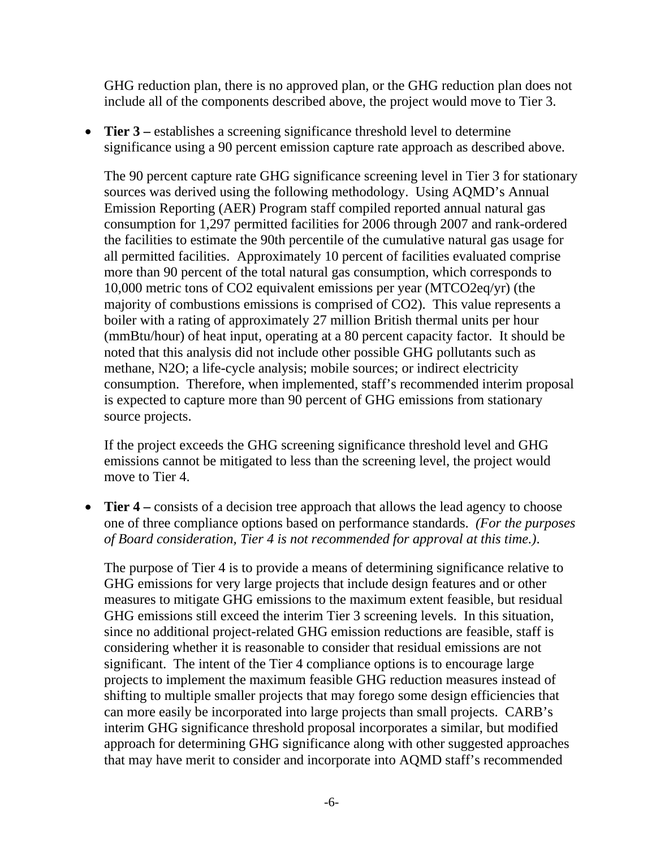GHG reduction plan, there is no approved plan, or the GHG reduction plan does not include all of the components described above, the project would move to Tier 3.

• **Tier 3** – establishes a screening significance threshold level to determine significance using a 90 percent emission capture rate approach as described above.

The 90 percent capture rate GHG significance screening level in Tier 3 for stationary sources was derived using the following methodology. Using AQMD's Annual Emission Reporting (AER) Program staff compiled reported annual natural gas consumption for 1,297 permitted facilities for 2006 through 2007 and rank-ordered the facilities to estimate the 90th percentile of the cumulative natural gas usage for all permitted facilities. Approximately 10 percent of facilities evaluated comprise more than 90 percent of the total natural gas consumption, which corresponds to 10,000 metric tons of CO2 equivalent emissions per year (MTCO2eq/yr) (the majority of combustions emissions is comprised of CO2). This value represents a boiler with a rating of approximately 27 million British thermal units per hour (mmBtu/hour) of heat input, operating at a 80 percent capacity factor. It should be noted that this analysis did not include other possible GHG pollutants such as methane, N2O; a life-cycle analysis; mobile sources; or indirect electricity consumption. Therefore, when implemented, staff's recommended interim proposal is expected to capture more than 90 percent of GHG emissions from stationary source projects.

If the project exceeds the GHG screening significance threshold level and GHG emissions cannot be mitigated to less than the screening level, the project would move to Tier 4.

• **Tier 4** – consists of a decision tree approach that allows the lead agency to choose one of three compliance options based on performance standards. *(For the purposes of Board consideration, Tier 4 is not recommended for approval at this time.)*.

The purpose of Tier 4 is to provide a means of determining significance relative to GHG emissions for very large projects that include design features and or other measures to mitigate GHG emissions to the maximum extent feasible, but residual GHG emissions still exceed the interim Tier 3 screening levels. In this situation, since no additional project-related GHG emission reductions are feasible, staff is considering whether it is reasonable to consider that residual emissions are not significant. The intent of the Tier 4 compliance options is to encourage large projects to implement the maximum feasible GHG reduction measures instead of shifting to multiple smaller projects that may forego some design efficiencies that can more easily be incorporated into large projects than small projects. CARB's interim GHG significance threshold proposal incorporates a similar, but modified approach for determining GHG significance along with other suggested approaches that may have merit to consider and incorporate into AQMD staff's recommended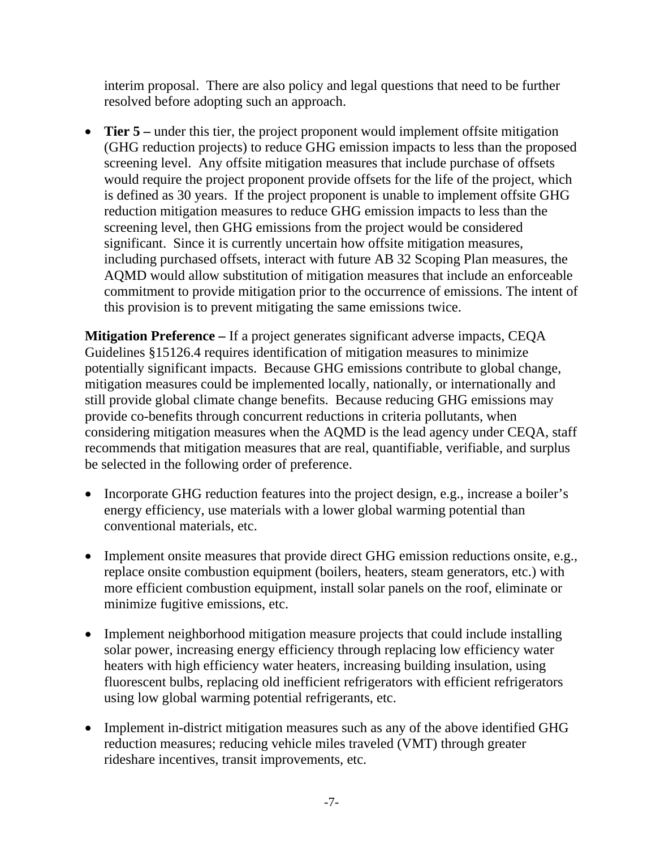interim proposal. There are also policy and legal questions that need to be further resolved before adopting such an approach.

• **Tier 5** – under this tier, the project proponent would implement offsite mitigation (GHG reduction projects) to reduce GHG emission impacts to less than the proposed screening level. Any offsite mitigation measures that include purchase of offsets would require the project proponent provide offsets for the life of the project, which is defined as 30 years. If the project proponent is unable to implement offsite GHG reduction mitigation measures to reduce GHG emission impacts to less than the screening level, then GHG emissions from the project would be considered significant. Since it is currently uncertain how offsite mitigation measures, including purchased offsets, interact with future AB 32 Scoping Plan measures, the AQMD would allow substitution of mitigation measures that include an enforceable commitment to provide mitigation prior to the occurrence of emissions. The intent of this provision is to prevent mitigating the same emissions twice.

**Mitigation Preference –** If a project generates significant adverse impacts, CEQA Guidelines §15126.4 requires identification of mitigation measures to minimize potentially significant impacts. Because GHG emissions contribute to global change, mitigation measures could be implemented locally, nationally, or internationally and still provide global climate change benefits. Because reducing GHG emissions may provide co-benefits through concurrent reductions in criteria pollutants, when considering mitigation measures when the AQMD is the lead agency under CEQA, staff recommends that mitigation measures that are real, quantifiable, verifiable, and surplus be selected in the following order of preference.

- Incorporate GHG reduction features into the project design, e.g., increase a boiler's energy efficiency, use materials with a lower global warming potential than conventional materials, etc.
- Implement onsite measures that provide direct GHG emission reductions onsite, e.g., replace onsite combustion equipment (boilers, heaters, steam generators, etc.) with more efficient combustion equipment, install solar panels on the roof, eliminate or minimize fugitive emissions, etc.
- Implement neighborhood mitigation measure projects that could include installing solar power, increasing energy efficiency through replacing low efficiency water heaters with high efficiency water heaters, increasing building insulation, using fluorescent bulbs, replacing old inefficient refrigerators with efficient refrigerators using low global warming potential refrigerants, etc.
- Implement in-district mitigation measures such as any of the above identified GHG reduction measures; reducing vehicle miles traveled (VMT) through greater rideshare incentives, transit improvements, etc.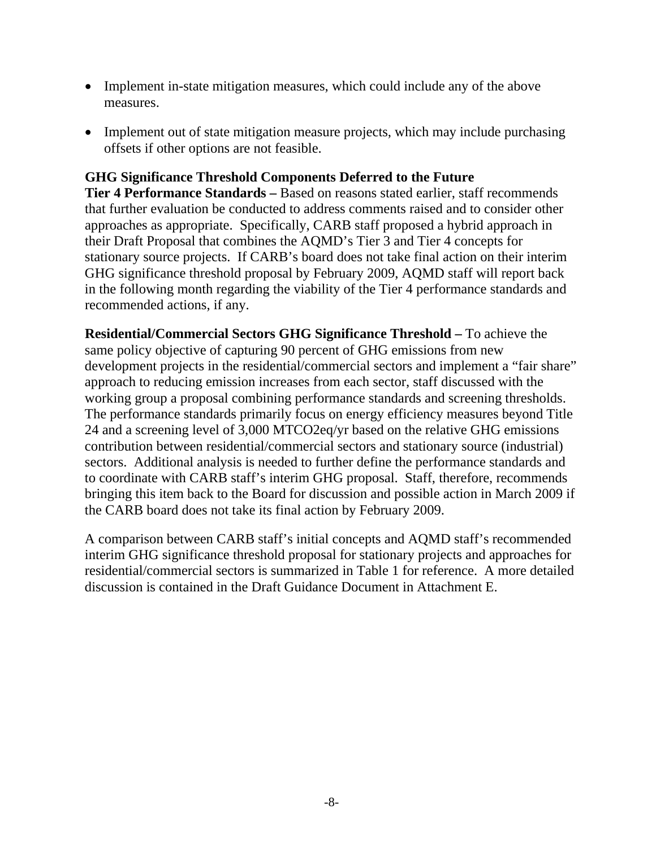- Implement in-state mitigation measures, which could include any of the above measures.
- Implement out of state mitigation measure projects, which may include purchasing offsets if other options are not feasible.

#### **GHG Significance Threshold Components Deferred to the Future**

**Tier 4 Performance Standards –** Based on reasons stated earlier, staff recommends that further evaluation be conducted to address comments raised and to consider other approaches as appropriate. Specifically, CARB staff proposed a hybrid approach in their Draft Proposal that combines the AQMD's Tier 3 and Tier 4 concepts for stationary source projects. If CARB's board does not take final action on their interim GHG significance threshold proposal by February 2009, AQMD staff will report back in the following month regarding the viability of the Tier 4 performance standards and recommended actions, if any.

**Residential/Commercial Sectors GHG Significance Threshold –** To achieve the same policy objective of capturing 90 percent of GHG emissions from new development projects in the residential/commercial sectors and implement a "fair share" approach to reducing emission increases from each sector, staff discussed with the working group a proposal combining performance standards and screening thresholds. The performance standards primarily focus on energy efficiency measures beyond Title 24 and a screening level of 3,000 MTCO2eq/yr based on the relative GHG emissions contribution between residential/commercial sectors and stationary source (industrial) sectors. Additional analysis is needed to further define the performance standards and to coordinate with CARB staff's interim GHG proposal. Staff, therefore, recommends bringing this item back to the Board for discussion and possible action in March 2009 if the CARB board does not take its final action by February 2009.

A comparison between CARB staff's initial concepts and AQMD staff's recommended interim GHG significance threshold proposal for stationary projects and approaches for residential/commercial sectors is summarized in Table 1 for reference. A more detailed discussion is contained in the Draft Guidance Document in Attachment E.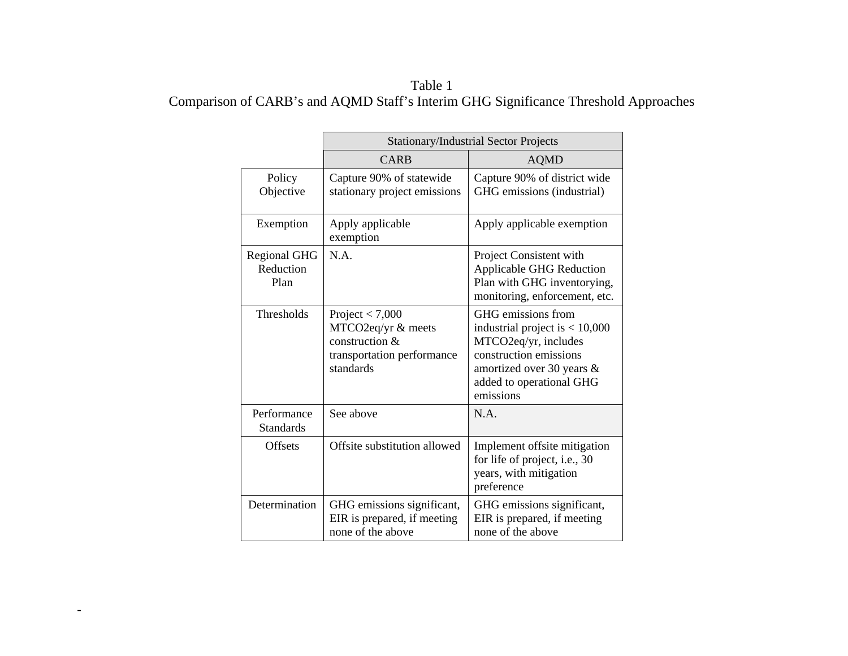### Table 1 Comparison of CARB's and AQMD Staff's Interim GHG Significance Threshold Approaches

|                                          | <b>Stationary/Industrial Sector Projects</b>                                                         |                                                                                                                                                                                |
|------------------------------------------|------------------------------------------------------------------------------------------------------|--------------------------------------------------------------------------------------------------------------------------------------------------------------------------------|
|                                          | <b>CARB</b>                                                                                          | <b>AQMD</b>                                                                                                                                                                    |
| Policy<br>Objective                      | Capture 90% of statewide<br>stationary project emissions                                             | Capture 90% of district wide<br>GHG emissions (industrial)                                                                                                                     |
| Exemption                                | Apply applicable<br>exemption                                                                        | Apply applicable exemption                                                                                                                                                     |
| <b>Regional GHG</b><br>Reduction<br>Plan | N.A.                                                                                                 | Project Consistent with<br><b>Applicable GHG Reduction</b><br>Plan with GHG inventorying,<br>monitoring, enforcement, etc.                                                     |
| <b>Thresholds</b>                        | Project $< 7,000$<br>MTCO2eq/yr & meets<br>construction &<br>transportation performance<br>standards | GHG emissions from<br>industrial project is $< 10,000$<br>MTCO2eq/yr, includes<br>construction emissions<br>amortized over 30 years &<br>added to operational GHG<br>emissions |
| Performance<br><b>Standards</b>          | See above                                                                                            | N.A.                                                                                                                                                                           |
| <b>Offsets</b>                           | Offsite substitution allowed                                                                         | Implement offsite mitigation<br>for life of project, i.e., 30<br>years, with mitigation<br>preference                                                                          |
| Determination                            | GHG emissions significant,<br>EIR is prepared, if meeting<br>none of the above                       | GHG emissions significant,<br>EIR is prepared, if meeting<br>none of the above                                                                                                 |

-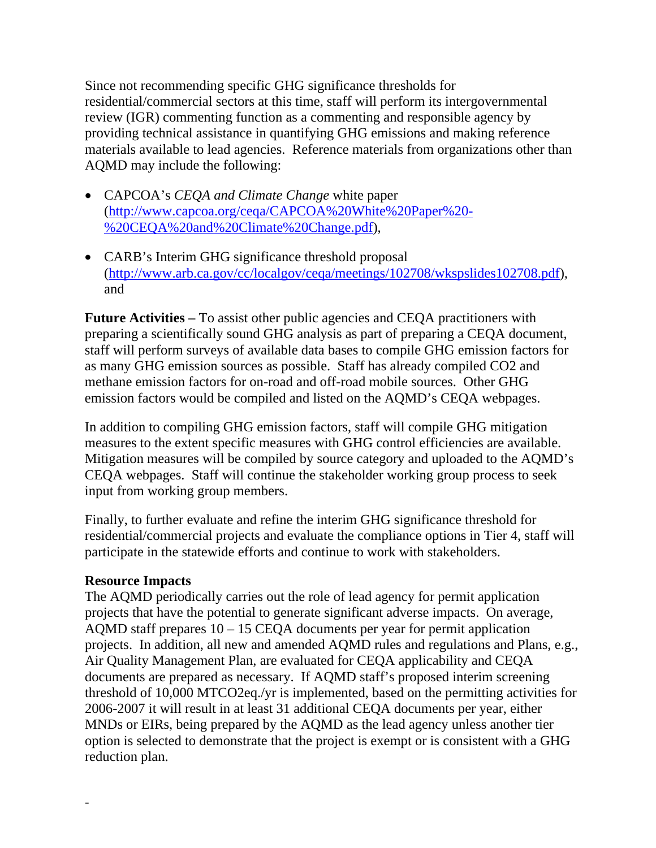Since not recommending specific GHG significance thresholds for residential/commercial sectors at this time, staff will perform its intergovernmental review (IGR) commenting function as a commenting and responsible agency by providing technical assistance in quantifying GHG emissions and making reference materials available to lead agencies. Reference materials from organizations other than AQMD may include the following:

- CAPCOA's *CEQA and Climate Change* white paper (http://www.capcoa.org/ceqa/CAPCOA%20White%20Paper%20- %20CEQA%20and%20Climate%20Change.pdf),
- CARB's Interim GHG significance threshold proposal (http://www.arb.ca.gov/cc/localgov/ceqa/meetings/102708/wkspslides102708.pdf), and

**Future Activities –** To assist other public agencies and CEQA practitioners with preparing a scientifically sound GHG analysis as part of preparing a CEQA document, staff will perform surveys of available data bases to compile GHG emission factors for as many GHG emission sources as possible. Staff has already compiled CO2 and methane emission factors for on-road and off-road mobile sources. Other GHG emission factors would be compiled and listed on the AQMD's CEQA webpages.

In addition to compiling GHG emission factors, staff will compile GHG mitigation measures to the extent specific measures with GHG control efficiencies are available. Mitigation measures will be compiled by source category and uploaded to the AQMD's CEQA webpages. Staff will continue the stakeholder working group process to seek input from working group members.

Finally, to further evaluate and refine the interim GHG significance threshold for residential/commercial projects and evaluate the compliance options in Tier 4, staff will participate in the statewide efforts and continue to work with stakeholders.

### **Resource Impacts**

-

The AQMD periodically carries out the role of lead agency for permit application projects that have the potential to generate significant adverse impacts. On average, AQMD staff prepares  $10 - 15$  CEQA documents per year for permit application projects. In addition, all new and amended AQMD rules and regulations and Plans, e.g., Air Quality Management Plan, are evaluated for CEQA applicability and CEQA documents are prepared as necessary. If AQMD staff's proposed interim screening threshold of 10,000 MTCO2eq./yr is implemented, based on the permitting activities for 2006-2007 it will result in at least 31 additional CEQA documents per year, either MNDs or EIRs, being prepared by the AQMD as the lead agency unless another tier option is selected to demonstrate that the project is exempt or is consistent with a GHG reduction plan.